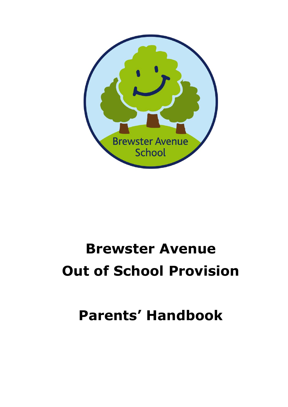

# **Brewster Avenue Out of School Provision**

# **Parents' Handbook**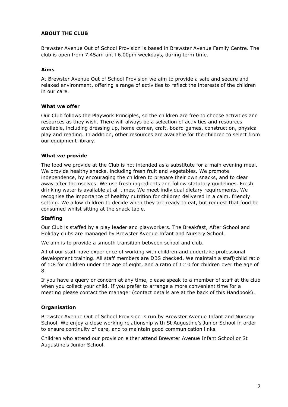# **ABOUT THE CLUB**

Brewster Avenue Out of School Provision is based in Brewster Avenue Family Centre. The club is open from 7.45am until 6.00pm weekdays, during term time.

### **Aims**

At Brewster Avenue Out of School Provision we aim to provide a safe and secure and relaxed environment, offering a range of activities to reflect the interests of the children in our care.

#### **What we offer**

Our Club follows the Playwork Principles, so the children are free to choose activities and resources as they wish. There will always be a selection of activities and resources available, including dressing up, home corner, craft, board games, construction, physical play and reading. In addition, other resources are available for the children to select from our equipment library.

#### **What we provide**

The food we provide at the Club is not intended as a substitute for a main evening meal. We provide healthy snacks, including fresh fruit and vegetables. We promote independence, by encouraging the children to prepare their own snacks, and to clear away after themselves. We use fresh ingredients and follow statutory guidelines. Fresh drinking water is available at all times. We meet individual dietary requirements. We recognise the importance of healthy nutrition for children delivered in a calm, friendly setting. We allow children to decide when they are ready to eat, but request that food be consumed whilst sitting at the snack table.

#### **Staffing**

Our Club is staffed by a play leader and playworkers. The Breakfast, After School and Holiday clubs are managed by Brewster Avenue Infant and Nursery School.

We aim is to provide a smooth transition between school and club.

All of our staff have experience of working with children and undertake professional development training. All staff members are DBS checked. We maintain a staff/child ratio of 1:8 for children under the age of eight, and a ratio of 1:10 for children over the age of 8.

If you have a query or concern at any time, please speak to a member of staff at the club when you collect your child. If you prefer to arrange a more convenient time for a meeting please contact the manager (contact details are at the back of this Handbook).

### **Organisation**

Brewster Avenue Out of School Provision is run by Brewster Avenue Infant and Nursery School. We enjoy a close working relationship with St Augustine's Junior School in order to ensure continuity of care, and to maintain good communication links.

Children who attend our provision either attend Brewster Avenue Infant School or St Augustine's Junior School.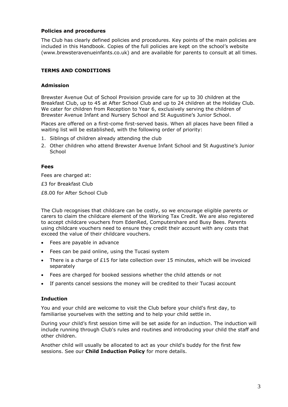#### **Policies and procedures**

The Club has clearly defined policies and procedures. Key points of the main policies are included in this Handbook. Copies of the full policies are kept on the school's website (www.brewsteravenueinfants.co.uk) and are available for parents to consult at all times.

### **TERMS AND CONDITIONS**

#### **Admission**

Brewster Avenue Out of School Provision provide care for up to 30 children at the Breakfast Club, up to 45 at After School Club and up to 24 children at the Holiday Club. We cater for children from Reception to Year 6, exclusively serving the children of Brewster Avenue Infant and Nursery School and St Augustine's Junior School.

Places are offered on a first-come first-served basis. When all places have been filled a waiting list will be established, with the following order of priority:

- 1. Siblings of children already attending the club
- 2. Other children who attend Brewster Avenue Infant School and St Augustine's Junior **School**

#### **Fees**

Fees are charged at:

£3 for Breakfast Club

£8.00 for After School Club

The Club recognises that childcare can be costly, so we encourage eligible parents or carers to claim the childcare element of the Working Tax Credit. We are also registered to accept childcare vouchers from EdenRed, Computershare and Busy Bees. Parents using childcare vouchers need to ensure they credit their account with any costs that exceed the value of their childcare vouchers.

- Fees are payable in advance
- Fees can be paid online, using the Tucasi system
- There is a charge of  $£15$  for late collection over 15 minutes, which will be invoiced separately
- Fees are charged for booked sessions whether the child attends or not
- If parents cancel sessions the money will be credited to their Tucasi account

### **Induction**

You and your child are welcome to visit the Club before your child's first day, to familiarise yourselves with the setting and to help your child settle in.

During your child's first session time will be set aside for an induction. The induction will include running through Club's rules and routines and introducing your child the staff and other children.

Another child will usually be allocated to act as your child's buddy for the first few sessions. See our **Child Induction Policy** for more details.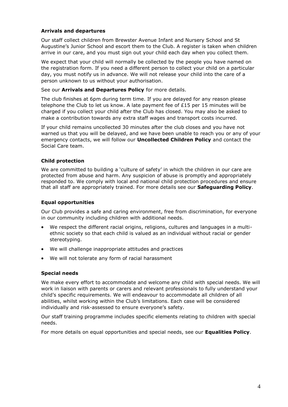# **Arrivals and departures**

Our staff collect children from Brewster Avenue Infant and Nursery School and St Augustine's Junior School and escort them to the Club. A register is taken when children arrive in our care, and you must sign out your child each day when you collect them.

We expect that your child will normally be collected by the people you have named on the registration form. If you need a different person to collect your child on a particular day, you must notify us in advance. We will not release your child into the care of a person unknown to us without your authorisation.

#### See our **Arrivals and Departures Policy** for more details.

The club finishes at 6pm during term time. If you are delayed for any reason please telephone the Club to let us know. A late payment fee of £15 per 15 minutes will be charged if you collect your child after the Club has closed. You may also be asked to make a contribution towards any extra staff wages and transport costs incurred.

If your child remains uncollected 30 minutes after the club closes and you have not warned us that you will be delayed, and we have been unable to reach you or any of your emergency contacts, we will follow our **Uncollected Children Policy** and contact the Social Care team.

# **Child protection**

We are committed to building a 'culture of safety' in which the children in our care are protected from abuse and harm. Any suspicion of abuse is promptly and appropriately responded to. We comply with local and national child protection procedures and ensure that all staff are appropriately trained. For more details see our **Safeguarding Policy**.

# **Equal opportunities**

Our Club provides a safe and caring environment, free from discrimination, for everyone in our community including children with additional needs.

- We respect the different racial origins, religions, cultures and languages in a multiethnic society so that each child is valued as an individual without racial or gender stereotyping.
- We will challenge inappropriate attitudes and practices
- We will not tolerate any form of racial harassment

### **Special needs**

We make every effort to accommodate and welcome any child with special needs. We will work in liaison with parents or carers and relevant professionals to fully understand your child's specific requirements. We will endeavour to accommodate all children of all abilities, whilst working within the Club's limitations. Each case will be considered individually and risk-assessed to ensure everyone's safety.

Our staff training programme includes specific elements relating to children with special needs.

For more details on equal opportunities and special needs, see our **Equalities Policy**.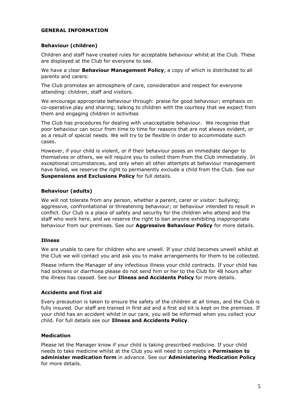#### **GENERAL INFORMATION**

#### **Behaviour (children)**

Children and staff have created rules for acceptable behaviour whilst at the Club. These are displayed at the Club for everyone to see.

We have a clear **Behaviour Management Policy**, a copy of which is distributed to all parents and carers:

The Club promotes an atmosphere of care, consideration and respect for everyone attending: children, staff and visitors.

We encourage appropriate behaviour through: praise for good behaviour; emphasis on co-operative play and sharing; talking to children with the courtesy that we expect from them and engaging children in activities

The Club has procedures for dealing with unacceptable behaviour. We recognise that poor behaviour can occur from time to time for reasons that are not always evident, or as a result of special needs. We will try to be flexible in order to accommodate such cases.

However, if your child is violent, or if their behaviour poses an immediate danger to themselves or others, we will require you to collect them from the Club immediately. In exceptional circumstances, and only when all other attempts at behaviour management have failed, we reserve the right to permanently exclude a child from the Club. See our **Suspensions and Exclusions Policy** for full details.

# **Behaviour (adults)**

We will not tolerate from any person, whether a parent, carer or visitor: bullying; aggressive, confrontational or threatening behaviour; or behaviour intended to result in conflict. Our Club is a place of safety and security for the children who attend and the staff who work here, and we reserve the right to ban anyone exhibiting inappropriate behaviour from our premises. See our **Aggressive Behaviour Policy** for more details.

### **Illness**

We are unable to care for children who are unwell. If your child becomes unwell whilst at the Club we will contact you and ask you to make arrangements for them to be collected.

Please inform the Manager of any infectious illness your child contracts. If your child has had sickness or diarrhoea please do not send him or her to the Club for 48 hours after the illness has ceased. See our **Illness and Accidents Policy** for more details.

### **Accidents and first aid**

Every precaution is taken to ensure the safety of the children at all times, and the Club is fully insured. Our staff are trained in first aid and a first aid kit is kept on the premises. If your child has an accident whilst in our care, you will be informed when you collect your child. For full details see our **Illness and Accidents Policy**.

### **Medication**

Please let the Manager know if your child is taking prescribed medicine. If your child needs to take medicine whilst at the Club you will need to complete a **Permission to administer medication form** in advance. See our **Administering Medication Policy** for more details.